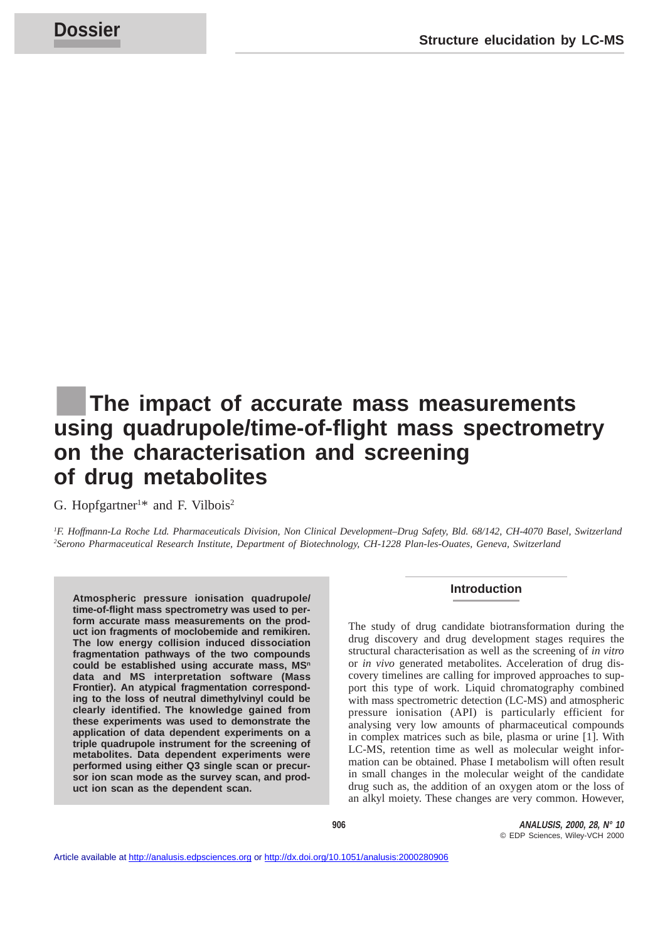# The impact of accurate mass measurements **using quadrupole/time-of-flight mass spectrometry on the characterisation and screening of drug metabolites**

G. Hopfgartner<sup>1\*</sup> and F. Vilbois<sup>2</sup>

*1 F. Hoffmann-La Roche Ltd. Pharmaceuticals Division, Non Clinical Development–Drug Safety, Bld. 68/142, CH-4070 Basel, Switzerland 2 Serono Pharmaceutical Research Institute, Department of Biotechnology, CH-1228 Plan-les-Ouates, Geneva, Switzerland*

**Atmospheric pressure ionisation quadrupole/ time-of-flight mass spectrometry was used to perform accurate mass measurements on the product ion fragments of moclobemide and remikiren. The low energy collision induced dissociation fragmentation pathways of the two compounds** could be established using accurate mass, MS<sup>n</sup> **data and MS interpretation software (Mass Frontier). An atypical fragmentation corresponding to the loss of neutral dimethylvinyl could be clearly identified. The knowledge gained from these experiments was used to demonstrate the application of data dependent experiments on a triple quadrupole instrument for the screening of metabolites. Data dependent experiments were performed using either Q3 single scan or precursor ion scan mode as the survey scan, and product ion scan as the dependent scan.**

# **Introduction**

The study of drug candidate biotransformation during the drug discovery and drug development stages requires the structural characterisation as well as the screening of *in vitro* or *in vivo* generated metabolites. Acceleration of drug discovery timelines are calling for improved approaches to support this type of work. Liquid chromatography combined with mass spectrometric detection (LC-MS) and atmospheric pressure ionisation (API) is particularly efficient for analysing very low amounts of pharmaceutical compounds in complex matrices such as bile, plasma or urine [1]. With LC-MS, retention time as well as molecular weight information can be obtained. Phase I metabolism will often result in small changes in the molecular weight of the candidate drug such as, the addition of an oxygen atom or the loss of an alkyl moiety. These changes are very common. However,

**906 ANALUSIS, 2000, 28, N° 10** © EDP Sciences, Wiley-VCH 2000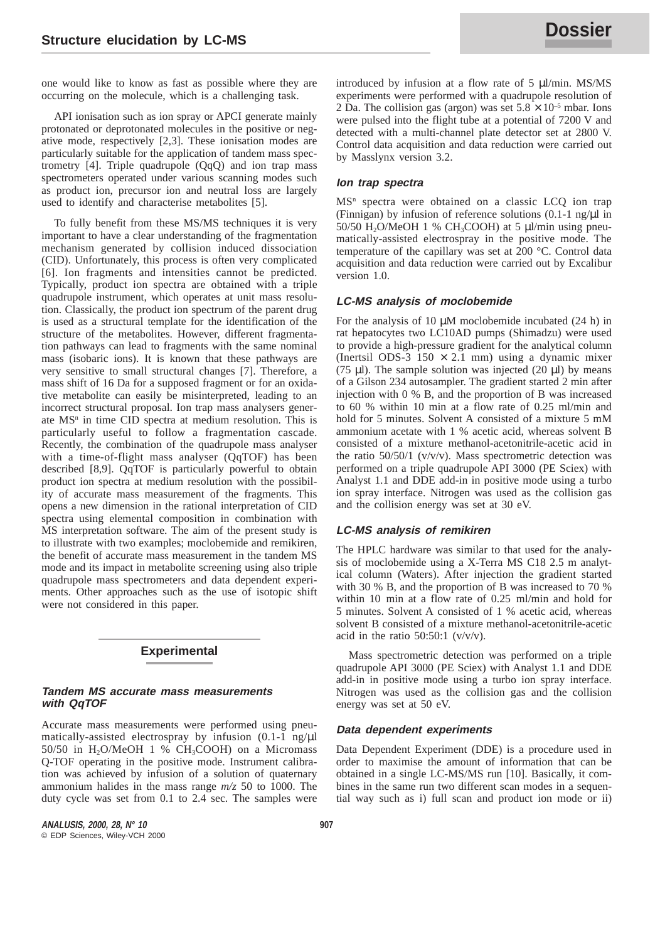one would like to know as fast as possible where they are occurring on the molecule, which is a challenging task.

API ionisation such as ion spray or APCI generate mainly protonated or deprotonated molecules in the positive or negative mode, respectively [2,3]. These ionisation modes are particularly suitable for the application of tandem mass spectrometry  $[4]$ . Triple quadrupole  $(QqQ)$  and ion trap mass spectrometers operated under various scanning modes such as product ion, precursor ion and neutral loss are largely used to identify and characterise metabolites [5].

To fully benefit from these MS/MS techniques it is very important to have a clear understanding of the fragmentation mechanism generated by collision induced dissociation (CID). Unfortunately, this process is often very complicated [6]. Ion fragments and intensities cannot be predicted. Typically, product ion spectra are obtained with a triple quadrupole instrument, which operates at unit mass resolution. Classically, the product ion spectrum of the parent drug is used as a structural template for the identification of the structure of the metabolites. However, different fragmentation pathways can lead to fragments with the same nominal mass (isobaric ions). It is known that these pathways are very sensitive to small structural changes [7]. Therefore, a mass shift of 16 Da for a supposed fragment or for an oxidative metabolite can easily be misinterpreted, leading to an incorrect structural proposal. Ion trap mass analysers generate  $MS<sup>n</sup>$  in time CID spectra at medium resolution. This is particularly useful to follow a fragmentation cascade. Recently, the combination of the quadrupole mass analyser with a time-of-flight mass analyser (QqTOF) has been described [8,9]. QqTOF is particularly powerful to obtain product ion spectra at medium resolution with the possibility of accurate mass measurement of the fragments. This opens a new dimension in the rational interpretation of CID spectra using elemental composition in combination with MS interpretation software. The aim of the present study is to illustrate with two examples; moclobemide and remikiren, the benefit of accurate mass measurement in the tandem MS mode and its impact in metabolite screening using also triple quadrupole mass spectrometers and data dependent experiments. Other approaches such as the use of isotopic shift were not considered in this paper.

# **Experimental**

### **Tandem MS accurate mass measurements with QqTOF**

Accurate mass measurements were performed using pneumatically-assisted electrospray by infusion (0.1-1 ng/ $\mu$ l  $50/50$  in H<sub>2</sub>O/MeOH 1 % CH<sub>3</sub>COOH) on a Micromass Q-TOF operating in the positive mode. Instrument calibration was achieved by infusion of a solution of quaternary ammonium halides in the mass range *m/z* 50 to 1000. The duty cycle was set from 0.1 to 2.4 sec. The samples were

**ANALUSIS, 2000, 28, N° 10 907** © EDP Sciences, Wiley-VCH 2000

introduced by infusion at a flow rate of 5 µl/min. MS/MS experiments were performed with a quadrupole resolution of 2 Da. The collision gas (argon) was set  $5.8 \times 10^{-5}$  mbar. Ions were pulsed into the flight tube at a potential of 7200 V and detected with a multi-channel plate detector set at 2800 V. Control data acquisition and data reduction were carried out by Masslynx version 3.2.

### **Ion trap spectra**

 $MS<sup>n</sup>$  spectra were obtained on a classic LCQ ion trap (Finnigan) by infusion of reference solutions  $(0.1-1 \text{ ng/µl in})$ 50/50 H<sub>2</sub>O/MeOH 1 % CH<sub>3</sub>COOH) at 5  $\mu$ l/min using pneumatically-assisted electrospray in the positive mode. The temperature of the capillary was set at 200 °C. Control data acquisition and data reduction were carried out by Excalibur version 1.0.

# **LC-MS analysis of moclobemide**

For the analysis of 10  $\mu$ M moclobemide incubated (24 h) in rat hepatocytes two LC10AD pumps (Shimadzu) were used to provide a high-pressure gradient for the analytical column (Inertsil ODS-3 150  $\times$  2.1 mm) using a dynamic mixer (75  $\mu$ I). The sample solution was injected (20  $\mu$ I) by means of a Gilson 234 autosampler. The gradient started 2 min after injection with 0 % B, and the proportion of B was increased to 60 % within 10 min at a flow rate of 0.25 ml/min and hold for 5 minutes. Solvent A consisted of a mixture 5 mM ammonium acetate with 1 % acetic acid, whereas solvent B consisted of a mixture methanol-acetonitrile-acetic acid in the ratio 50/50/1 (v/v/v). Mass spectrometric detection was performed on a triple quadrupole API 3000 (PE Sciex) with Analyst 1.1 and DDE add-in in positive mode using a turbo ion spray interface. Nitrogen was used as the collision gas and the collision energy was set at 30 eV.

# **LC-MS analysis of remikiren**

The HPLC hardware was similar to that used for the analysis of moclobemide using a X-Terra MS C18 2.5 m analytical column (Waters). After injection the gradient started with 30 % B, and the proportion of B was increased to 70 % within 10 min at a flow rate of 0.25 ml/min and hold for 5 minutes. Solvent A consisted of 1 % acetic acid, whereas solvent B consisted of a mixture methanol-acetonitrile-acetic acid in the ratio  $50:50:1$  (v/v/v).

Mass spectrometric detection was performed on a triple quadrupole API 3000 (PE Sciex) with Analyst 1.1 and DDE add-in in positive mode using a turbo ion spray interface. Nitrogen was used as the collision gas and the collision energy was set at 50 eV.

#### **Data dependent experiments**

Data Dependent Experiment (DDE) is a procedure used in order to maximise the amount of information that can be obtained in a single LC-MS/MS run [10]. Basically, it combines in the same run two different scan modes in a sequential way such as i) full scan and product ion mode or ii)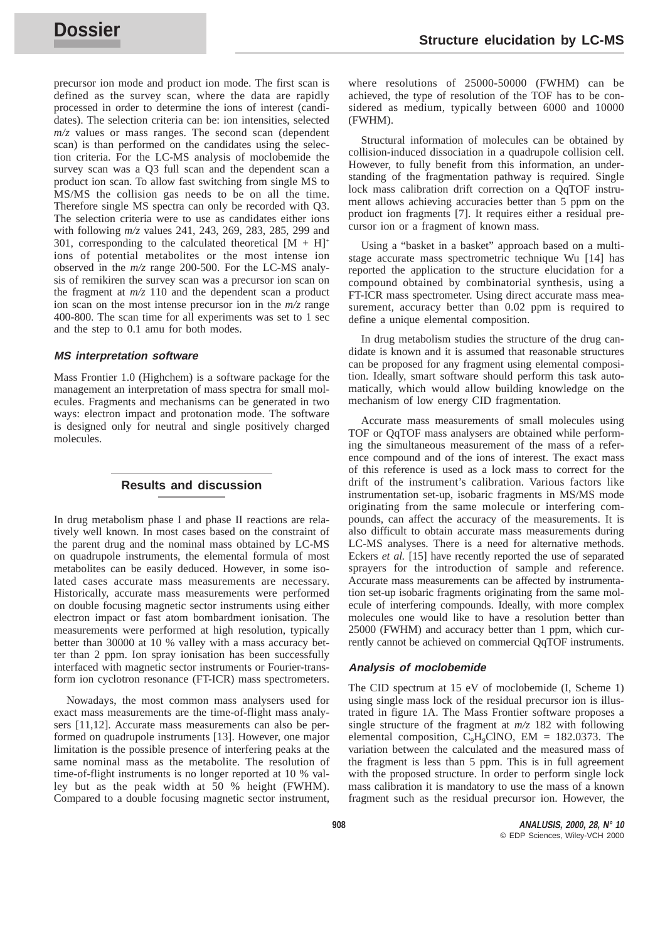precursor ion mode and product ion mode. The first scan is defined as the survey scan, where the data are rapidly processed in order to determine the ions of interest (candidates). The selection criteria can be: ion intensities, selected *m/z* values or mass ranges. The second scan (dependent scan) is than performed on the candidates using the selection criteria. For the LC-MS analysis of moclobemide the survey scan was a Q3 full scan and the dependent scan a product ion scan. To allow fast switching from single MS to MS/MS the collision gas needs to be on all the time. Therefore single MS spectra can only be recorded with Q3. The selection criteria were to use as candidates either ions with following *m/z* values 241, 243, 269, 283, 285, 299 and 301, corresponding to the calculated theoretical  $[M + H]^+$ ions of potential metabolites or the most intense ion observed in the *m/z* range 200-500. For the LC-MS analysis of remikiren the survey scan was a precursor ion scan on the fragment at  $m/z$  110 and the dependent scan a product ion scan on the most intense precursor ion in the *m/z* range 400-800. The scan time for all experiments was set to 1 sec and the step to 0.1 amu for both modes.

#### **MS interpretation software**

Mass Frontier 1.0 (Highchem) is a software package for the management an interpretation of mass spectra for small molecules. Fragments and mechanisms can be generated in two ways: electron impact and protonation mode. The software is designed only for neutral and single positively charged molecules.

# **Results and discussion**

In drug metabolism phase I and phase II reactions are relatively well known. In most cases based on the constraint of the parent drug and the nominal mass obtained by LC-MS on quadrupole instruments, the elemental formula of most metabolites can be easily deduced. However, in some isolated cases accurate mass measurements are necessary. Historically, accurate mass measurements were performed on double focusing magnetic sector instruments using either electron impact or fast atom bombardment ionisation. The measurements were performed at high resolution, typically better than 30000 at 10 % valley with a mass accuracy better than 2 ppm. Ion spray ionisation has been successfully interfaced with magnetic sector instruments or Fourier-transform ion cyclotron resonance (FT-ICR) mass spectrometers.

Nowadays, the most common mass analysers used for exact mass measurements are the time-of-flight mass analysers [11,12]. Accurate mass measurements can also be performed on quadrupole instruments [13]. However, one major limitation is the possible presence of interfering peaks at the same nominal mass as the metabolite. The resolution of time-of-flight instruments is no longer reported at 10 % valley but as the peak width at 50 % height (FWHM). Compared to a double focusing magnetic sector instrument, where resolutions of 25000-50000 (FWHM) can be achieved, the type of resolution of the TOF has to be considered as medium, typically between 6000 and 10000 (FWHM).

Structural information of molecules can be obtained by collision-induced dissociation in a quadrupole collision cell. However, to fully benefit from this information, an understanding of the fragmentation pathway is required. Single lock mass calibration drift correction on a QqTOF instrument allows achieving accuracies better than 5 ppm on the product ion fragments [7]. It requires either a residual precursor ion or a fragment of known mass.

Using a "basket in a basket" approach based on a multistage accurate mass spectrometric technique Wu [14] has reported the application to the structure elucidation for a compound obtained by combinatorial synthesis, using a FT-ICR mass spectrometer. Using direct accurate mass measurement, accuracy better than 0.02 ppm is required to define a unique elemental composition.

In drug metabolism studies the structure of the drug candidate is known and it is assumed that reasonable structures can be proposed for any fragment using elemental composition. Ideally, smart software should perform this task automatically, which would allow building knowledge on the mechanism of low energy CID fragmentation.

Accurate mass measurements of small molecules using TOF or QqTOF mass analysers are obtained while performing the simultaneous measurement of the mass of a reference compound and of the ions of interest. The exact mass of this reference is used as a lock mass to correct for the drift of the instrument's calibration. Various factors like instrumentation set-up, isobaric fragments in MS/MS mode originating from the same molecule or interfering compounds, can affect the accuracy of the measurements. It is also difficult to obtain accurate mass measurements during LC-MS analyses. There is a need for alternative methods. Eckers *et al.* [15] have recently reported the use of separated sprayers for the introduction of sample and reference. Accurate mass measurements can be affected by instrumentation set-up isobaric fragments originating from the same molecule of interfering compounds. Ideally, with more complex molecules one would like to have a resolution better than 25000 (FWHM) and accuracy better than 1 ppm, which currently cannot be achieved on commercial QqTOF instruments.

## **Analysis of moclobemide**

The CID spectrum at 15 eV of moclobemide (I, Scheme 1) using single mass lock of the residual precursor ion is illustrated in figure 1A. The Mass Frontier software proposes a single structure of the fragment at *m/z* 182 with following elemental composition,  $C_9H_9CINO$ , EM = 182.0373. The variation between the calculated and the measured mass of the fragment is less than 5 ppm. This is in full agreement with the proposed structure. In order to perform single lock mass calibration it is mandatory to use the mass of a known fragment such as the residual precursor ion. However, the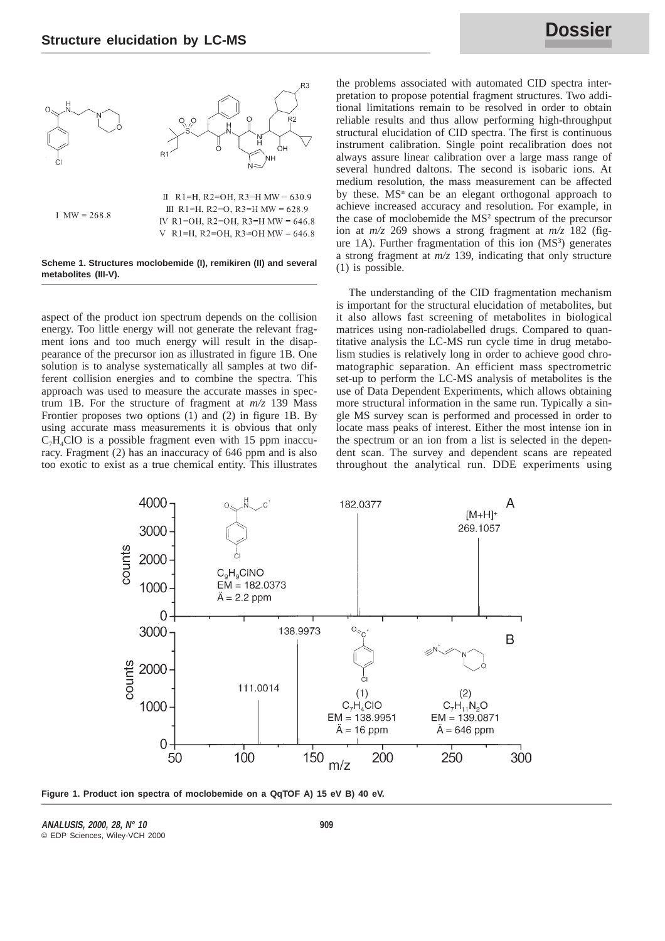

II R1=H, R2=OH, R3=H MW =  $630.9$ III R1=H, R2=O, R3=H MW =  $628.9$  $1 \text{ MW} = 268.8$ IV R1=OH, R2=OH, R3=H MW =  $646.8$ V R1=H, R2=OH, R3=OH MW =  $646.8$ 

### **Scheme 1. Structures moclobemide (I), remikiren (II) and several metabolites (III-V).**

aspect of the product ion spectrum depends on the collision energy. Too little energy will not generate the relevant fragment ions and too much energy will result in the disappearance of the precursor ion as illustrated in figure 1B. One solution is to analyse systematically all samples at two different collision energies and to combine the spectra. This approach was used to measure the accurate masses in spectrum 1B. For the structure of fragment at *m/z* 139 Mass Frontier proposes two options (1) and (2) in figure 1B. By using accurate mass measurements it is obvious that only  $C_7H_4ClO$  is a possible fragment even with 15 ppm inaccuracy. Fragment (2) has an inaccuracy of 646 ppm and is also too exotic to exist as a true chemical entity. This illustrates

the problems associated with automated CID spectra interpretation to propose potential fragment structures. Two additional limitations remain to be resolved in order to obtain reliable results and thus allow performing high-throughput structural elucidation of CID spectra. The first is continuous instrument calibration. Single point recalibration does not always assure linear calibration over a large mass range of several hundred daltons. The second is isobaric ions. At medium resolution, the mass measurement can be affected by these.  $MS<sup>n</sup>$  can be an elegant orthogonal approach to achieve increased accuracy and resolution. For example, in the case of moclobemide the MS2 spectrum of the precursor ion at *m/z* 269 shows a strong fragment at *m/z* 182 (figure  $1A$ ). Further fragmentation of this ion  $(MS<sup>3</sup>)$  generates a strong fragment at *m/z* 139, indicating that only structure (1) is possible.

The understanding of the CID fragmentation mechanism is important for the structural elucidation of metabolites, but it also allows fast screening of metabolites in biological matrices using non-radiolabelled drugs. Compared to quantitative analysis the LC-MS run cycle time in drug metabolism studies is relatively long in order to achieve good chromatographic separation. An efficient mass spectrometric set-up to perform the LC-MS analysis of metabolites is the use of Data Dependent Experiments, which allows obtaining more structural information in the same run. Typically a single MS survey scan is performed and processed in order to locate mass peaks of interest. Either the most intense ion in the spectrum or an ion from a list is selected in the dependent scan. The survey and dependent scans are repeated throughout the analytical run. DDE experiments using



**Figure 1. Product ion spectra of moclobemide on a QqTOF A) 15 eV B) 40 eV.**

**ANALUSIS, 2000, 28, N° 10 909** © EDP Sciences, Wiley-VCH 2000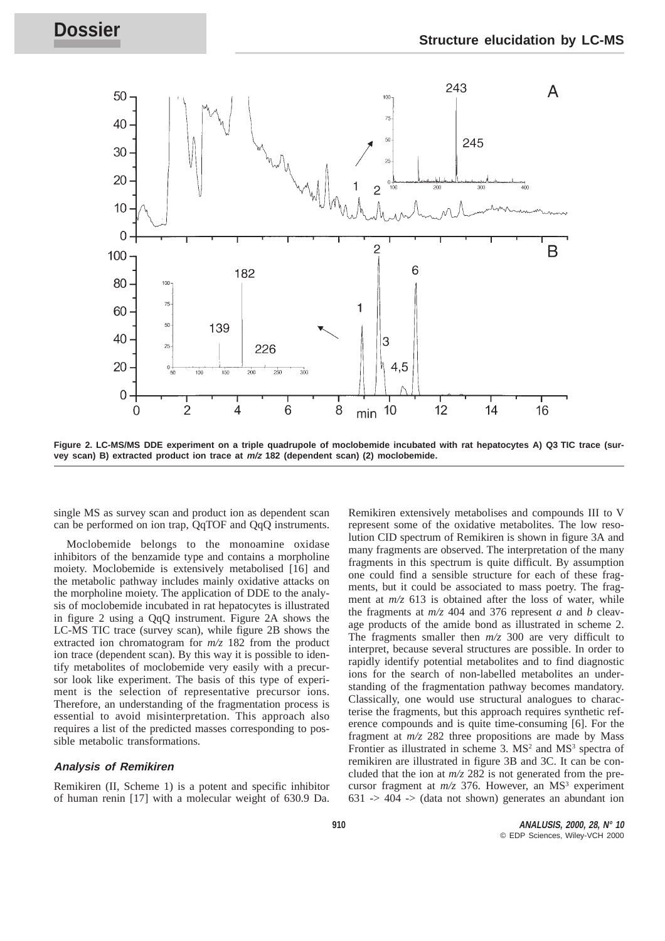

**Figure 2. LC-MS/MS DDE experiment on a triple quadrupole of moclobemide incubated with rat hepatocytes A) Q3 TIC trace (survey scan) B) extracted product ion trace at m/z 182 (dependent scan) (2) moclobemide.**

single MS as survey scan and product ion as dependent scan can be performed on ion trap, QqTOF and QqQ instruments.

Moclobemide belongs to the monoamine oxidase inhibitors of the benzamide type and contains a morpholine moiety. Moclobemide is extensively metabolised [16] and the metabolic pathway includes mainly oxidative attacks on the morpholine moiety. The application of DDE to the analysis of moclobemide incubated in rat hepatocytes is illustrated in figure 2 using a QqQ instrument. Figure 2A shows the LC-MS TIC trace (survey scan), while figure 2B shows the extracted ion chromatogram for *m/z* 182 from the product ion trace (dependent scan). By this way it is possible to identify metabolites of moclobemide very easily with a precursor look like experiment. The basis of this type of experiment is the selection of representative precursor ions. Therefore, an understanding of the fragmentation process is essential to avoid misinterpretation. This approach also requires a list of the predicted masses corresponding to possible metabolic transformations.

## **Analysis of Remikiren**

Remikiren (II, Scheme 1) is a potent and specific inhibitor of human renin [17] with a molecular weight of 630.9 Da.

Remikiren extensively metabolises and compounds III to V represent some of the oxidative metabolites. The low resolution CID spectrum of Remikiren is shown in figure 3A and many fragments are observed. The interpretation of the many fragments in this spectrum is quite difficult. By assumption one could find a sensible structure for each of these fragments, but it could be associated to mass poetry. The fragment at  $m/z$  613 is obtained after the loss of water, while the fragments at *m/z* 404 and 376 represent *a* and *b* cleavage products of the amide bond as illustrated in scheme 2. The fragments smaller then *m/z* 300 are very difficult to interpret, because several structures are possible. In order to rapidly identify potential metabolites and to find diagnostic ions for the search of non-labelled metabolites an understanding of the fragmentation pathway becomes mandatory. Classically, one would use structural analogues to characterise the fragments, but this approach requires synthetic reference compounds and is quite time-consuming [6]. For the fragment at *m/z* 282 three propositions are made by Mass Frontier as illustrated in scheme 3.  $MS<sup>2</sup>$  and  $MS<sup>3</sup>$  spectra of remikiren are illustrated in figure 3B and 3C. It can be concluded that the ion at *m/z* 282 is not generated from the precursor fragment at  $m/z$  376. However, an MS<sup>3</sup> experiment  $631 \rightarrow 404 \rightarrow$  (data not shown) generates an abundant ion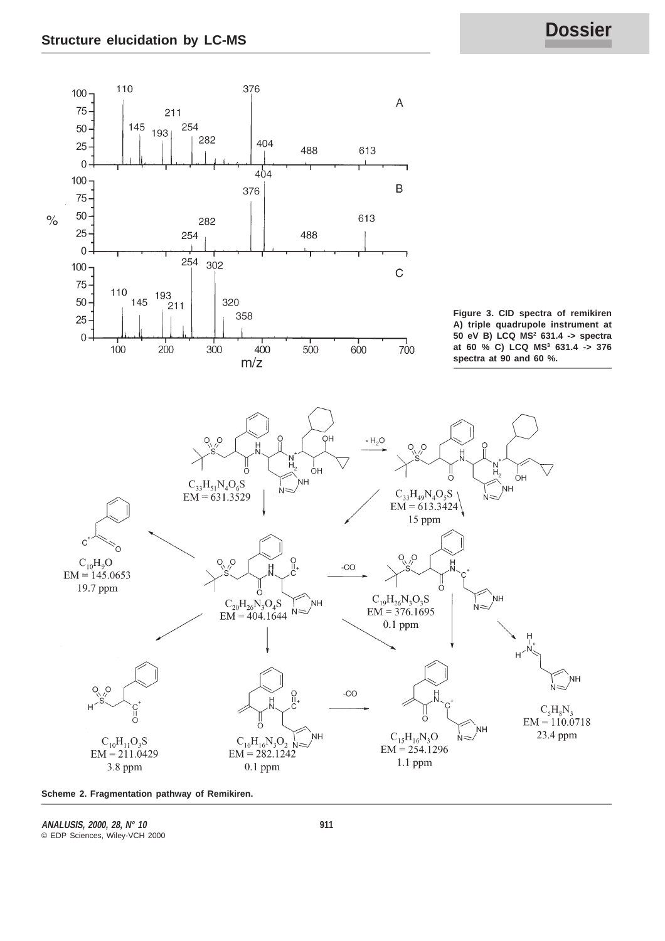

**Scheme 2. Fragmentation pathway of Remikiren.**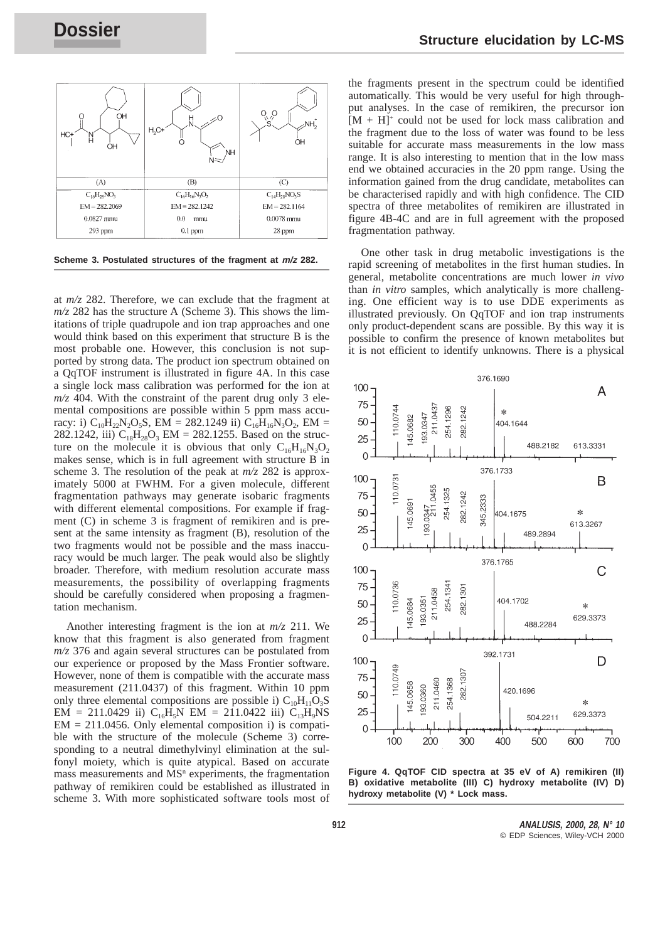

**Scheme 3. Postulated structures of the fragment at m/z 282.**

at *m/z* 282. Therefore, we can exclude that the fragment at *m/z* 282 has the structure A (Scheme 3). This shows the limitations of triple quadrupole and ion trap approaches and one would think based on this experiment that structure B is the most probable one. However, this conclusion is not supported by strong data. The product ion spectrum obtained on a QqTOF instrument is illustrated in figure 4A. In this case a single lock mass calibration was performed for the ion at  $m/z$  404. With the constraint of the parent drug only 3 elemental compositions are possible within 5 ppm mass accuracy: i)  $C_{10}H_{22}N_{2}O_{5}S$ , EM = 282.1249 ii)  $C_{16}H_{16}N_{3}O_{2}$ , EM = 282.1242, iii)  $C_{18}H_{28}O_3$  EM = 282.1255. Based on the structure on the molecule it is obvious that only  $C_{16}H_{16}N_3O_2$ makes sense, which is in full agreement with structure B in scheme 3. The resolution of the peak at *m/z* 282 is approximately 5000 at FWHM. For a given molecule, different fragmentation pathways may generate isobaric fragments with different elemental compositions. For example if fragment (C) in scheme 3 is fragment of remikiren and is present at the same intensity as fragment (B), resolution of the two fragments would not be possible and the mass inaccuracy would be much larger. The peak would also be slightly broader. Therefore, with medium resolution accurate mass measurements, the possibility of overlapping fragments should be carefully considered when proposing a fragmentation mechanism.

Another interesting fragment is the ion at *m/z* 211. We know that this fragment is also generated from fragment *m/z* 376 and again several structures can be postulated from our experience or proposed by the Mass Frontier software. However, none of them is compatible with the accurate mass measurement (211.0437) of this fragment. Within 10 ppm only three elemental compositions are possible i)  $C_{10}H_{11}O_3S$ EM = 211.0429 ii)  $C_{16}H_5N$  EM = 211.0422 iii)  $C_{13}H_9NS$  $EM = 211.0456$ . Only elemental composition i) is compatible with the structure of the molecule (Scheme 3) corresponding to a neutral dimethylvinyl elimination at the sulfonyl moiety, which is quite atypical. Based on accurate mass measurements and  $MS<sup>n</sup>$  experiments, the fragmentation pathway of remikiren could be established as illustrated in scheme 3. With more sophisticated software tools most of the fragments present in the spectrum could be identified automatically. This would be very useful for high throughput analyses. In the case of remikiren, the precursor ion  $[M + H]$ <sup>+</sup> could not be used for lock mass calibration and the fragment due to the loss of water was found to be less suitable for accurate mass measurements in the low mass range. It is also interesting to mention that in the low mass end we obtained accuracies in the 20 ppm range. Using the information gained from the drug candidate, metabolites can be characterised rapidly and with high confidence. The CID spectra of three metabolites of remikiren are illustrated in figure 4B-4C and are in full agreement with the proposed fragmentation pathway.

One other task in drug metabolic investigations is the rapid screening of metabolites in the first human studies. In general, metabolite concentrations are much lower *in vivo* than *in vitro* samples, which analytically is more challenging. One efficient way is to use DDE experiments as illustrated previously. On QqTOF and ion trap instruments only product-dependent scans are possible. By this way it is possible to confirm the presence of known metabolites but it is not efficient to identify unknowns. There is a physical



**Figure 4. QqTOF CID spectra at 35 eV of A) remikiren (II) B) oxidative metabolite (III) C) hydroxy metabolite (IV) D) hydroxy metabolite (V) \* Lock mass.**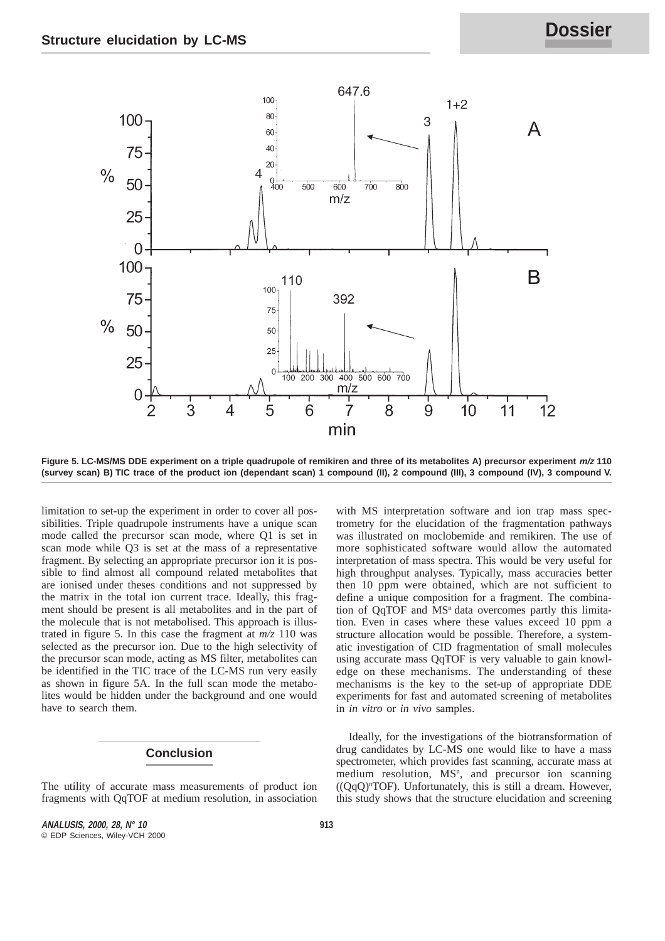

**Figure 5. LC-MS/MS DDE experiment on a triple quadrupole of remikiren and three of its metabolites A) precursor experiment m/z 110 (survey scan) B) TIC trace of the product ion (dependant scan) 1 compound (II), 2 compound (III), 3 compound (IV), 3 compound V.**

limitation to set-up the experiment in order to cover all possibilities. Triple quadrupole instruments have a unique scan mode called the precursor scan mode, where Q1 is set in scan mode while Q3 is set at the mass of a representative fragment. By selecting an appropriate precursor ion it is possible to find almost all compound related metabolites that are ionised under theses conditions and not suppressed by the matrix in the total ion current trace. Ideally, this fragment should be present is all metabolites and in the part of the molecule that is not metabolised. This approach is illustrated in figure 5. In this case the fragment at *m/z* 110 was selected as the precursor ion. Due to the high selectivity of the precursor scan mode, acting as MS filter, metabolites can be identified in the TIC trace of the LC-MS run very easily as shown in figure 5A. In the full scan mode the metabolites would be hidden under the background and one would have to search them.

# **Conclusion**

The utility of accurate mass measurements of product ion fragments with QqTOF at medium resolution, in association

with MS interpretation software and ion trap mass spectrometry for the elucidation of the fragmentation pathways was illustrated on moclobemide and remikiren. The use of more sophisticated software would allow the automated interpretation of mass spectra. This would be very useful for high throughput analyses. Typically, mass accuracies better then 10 ppm were obtained, which are not sufficient to define a unique composition for a fragment. The combination of  $QqTOF$  and  $MS<sup>n</sup>$  data overcomes partly this limitation. Even in cases where these values exceed 10 ppm a structure allocation would be possible. Therefore, a systematic investigation of CID fragmentation of small molecules using accurate mass QqTOF is very valuable to gain knowledge on these mechanisms. The understanding of these mechanisms is the key to the set-up of appropriate DDE experiments for fast and automated screening of metabolites in *in vitro* or *in vivo* samples.

Ideally, for the investigations of the biotransformation of drug candidates by LC-MS one would like to have a mass spectrometer, which provides fast scanning, accurate mass at medium resolution, MS<sup>n</sup>, and precursor ion scanning ((QqQ)n TOF). Unfortunately, this is still a dream. However, this study shows that the structure elucidation and screening

**ANALUSIS, 2000, 28, N° 10 913** © EDP Sciences, Wiley-VCH 2000